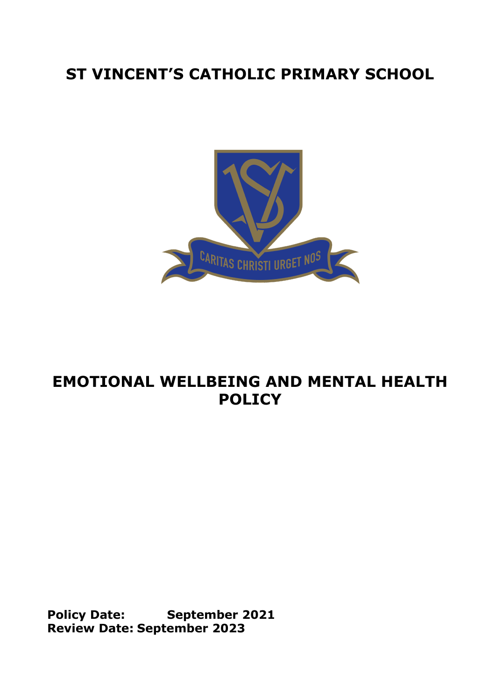# **ST VINCENT'S CATHOLIC PRIMARY SCHOOL**



# **EMOTIONAL WELLBEING AND MENTAL HEALTH POLICY**

**Policy Date: September 2021 Review Date: September 2023**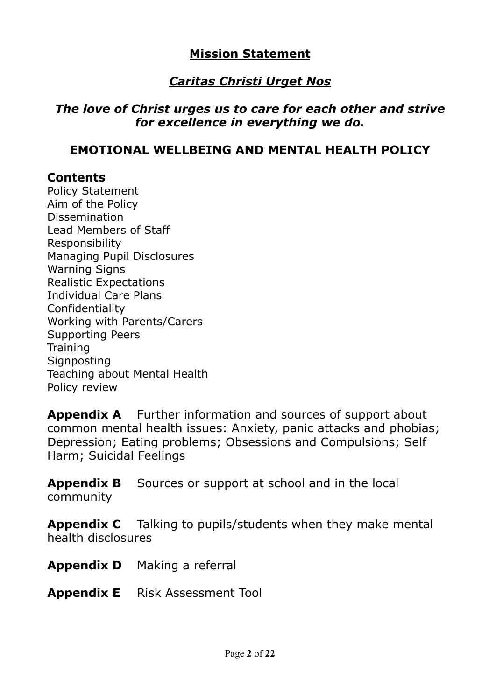# **Mission Statement**

# *Caritas Christi Urget Nos*

# *The love of Christ urges us to care for each other and strive for excellence in everything we do.*

# **EMOTIONAL WELLBEING AND MENTAL HEALTH POLICY**

# **Contents**

Policy Statement Aim of the Policy Dissemination Lead Members of Staff Responsibility Managing Pupil Disclosures Warning Signs Realistic Expectations Individual Care Plans Confidentiality Working with Parents/Carers Supporting Peers **Training Signposting** Teaching about Mental Health Policy review

**Appendix A** Further information and sources of support about common mental health issues: Anxiety, panic attacks and phobias; Depression; Eating problems; Obsessions and Compulsions; Self Harm; Suicidal Feelings

**Appendix B** Sources or support at school and in the local community

**Appendix C** Talking to pupils/students when they make mental health disclosures

**Appendix D** Making a referral

**Appendix E** Risk Assessment Tool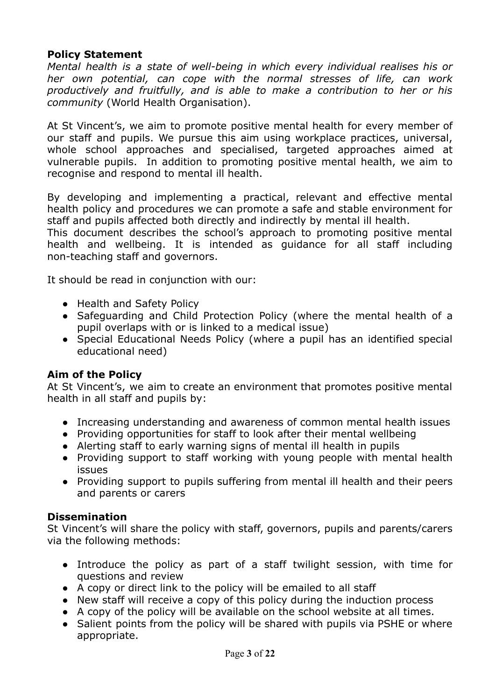# **Policy Statement**

*Mental health is a state of well-being in which every individual realises his or her own potential, can cope with the normal stresses of life, can work productively and fruitfully, and is able to make a contribution to her or his community* (World Health Organisation).

At St Vincent's, we aim to promote positive mental health for every member of our staff and pupils. We pursue this aim using workplace practices, universal, whole school approaches and specialised, targeted approaches aimed at vulnerable pupils. In addition to promoting positive mental health, we aim to recognise and respond to mental ill health.

By developing and implementing a practical, relevant and effective mental health policy and procedures we can promote a safe and stable environment for staff and pupils affected both directly and indirectly by mental ill health.

This document describes the school's approach to promoting positive mental health and wellbeing. It is intended as guidance for all staff including non-teaching staff and governors.

It should be read in conjunction with our:

- Health and Safety Policy
- Safeguarding and Child Protection Policy (where the mental health of a pupil overlaps with or is linked to a medical issue)
- Special Educational Needs Policy (where a pupil has an identified special educational need)

#### **Aim of the Policy**

At St Vincent's, we aim to create an environment that promotes positive mental health in all staff and pupils by:

- Increasing understanding and awareness of common mental health issues
- Providing opportunities for staff to look after their mental wellbeing
- Alerting staff to early warning signs of mental ill health in pupils
- Providing support to staff working with young people with mental health issues
- Providing support to pupils suffering from mental ill health and their peers and parents or carers

#### **Dissemination**

St Vincent's will share the policy with staff, governors, pupils and parents/carers via the following methods:

- Introduce the policy as part of a staff twilight session, with time for questions and review
- A copy or direct link to the policy will be emailed to all staff
- New staff will receive a copy of this policy during the induction process
- A copy of the policy will be available on the school website at all times.
- Salient points from the policy will be shared with pupils via PSHE or where appropriate.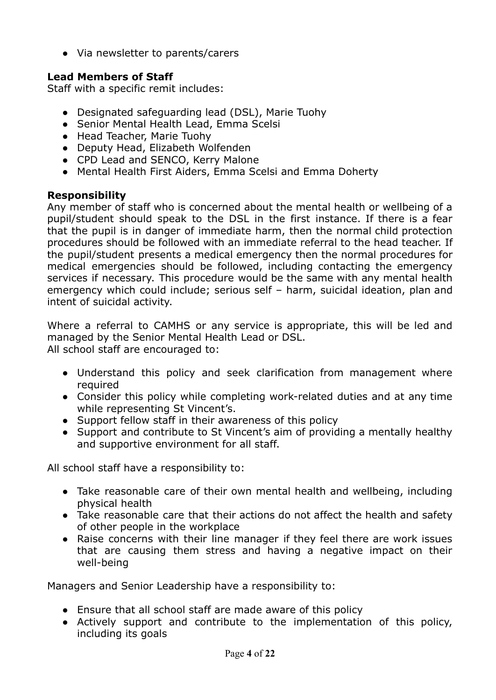● Via newsletter to parents/carers

# **Lead Members of Staff**

Staff with a specific remit includes:

- Designated safeguarding lead (DSL), Marie Tuohy
- Senior Mental Health Lead, Emma Scelsi
- Head Teacher, Marie Tuohy
- Deputy Head, Elizabeth Wolfenden
- CPD Lead and SENCO, Kerry Malone
- Mental Health First Aiders, Emma Scelsi and Emma Doherty

# **Responsibility**

Any member of staff who is concerned about the mental health or wellbeing of a pupil/student should speak to the DSL in the first instance. If there is a fear that the pupil is in danger of immediate harm, then the normal child protection procedures should be followed with an immediate referral to the head teacher. If the pupil/student presents a medical emergency then the normal procedures for medical emergencies should be followed, including contacting the emergency services if necessary. This procedure would be the same with any mental health emergency which could include; serious self – harm, suicidal ideation, plan and intent of suicidal activity.

Where a referral to CAMHS or any service is appropriate, this will be led and managed by the Senior Mental Health Lead or DSL. All school staff are encouraged to:

- Understand this policy and seek clarification from management where required
- Consider this policy while completing work-related duties and at any time while representing St Vincent's.
- Support fellow staff in their awareness of this policy
- Support and contribute to St Vincent's aim of providing a mentally healthy and supportive environment for all staff.

All school staff have a responsibility to:

- Take reasonable care of their own mental health and wellbeing, including physical health
- Take reasonable care that their actions do not affect the health and safety of other people in the workplace
- Raise concerns with their line manager if they feel there are work issues that are causing them stress and having a negative impact on their well-being

Managers and Senior Leadership have a responsibility to:

- Ensure that all school staff are made aware of this policy
- Actively support and contribute to the implementation of this policy, including its goals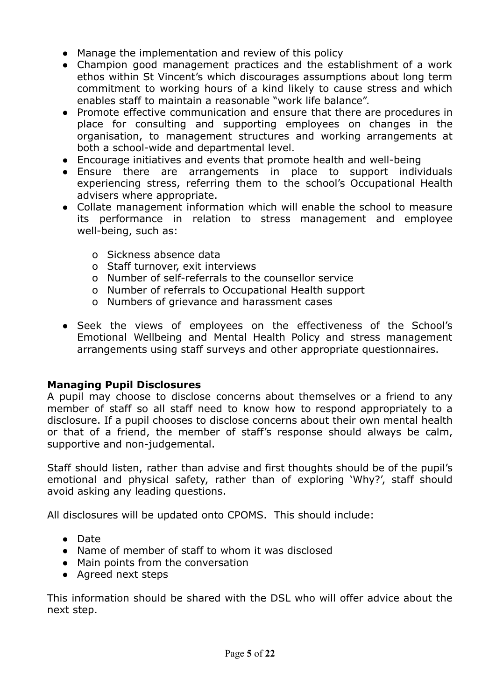- Manage the implementation and review of this policy
- Champion good management practices and the establishment of a work ethos within St Vincent's which discourages assumptions about long term commitment to working hours of a kind likely to cause stress and which enables staff to maintain a reasonable "work life balance".
- Promote effective communication and ensure that there are procedures in place for consulting and supporting employees on changes in the organisation, to management structures and working arrangements at both a school-wide and departmental level.
- Encourage initiatives and events that promote health and well-being
- Ensure there are arrangements in place to support individuals experiencing stress, referring them to the school's Occupational Health advisers where appropriate.
- Collate management information which will enable the school to measure its performance in relation to stress management and employee well-being, such as:
	- o Sickness absence data
	- o Staff turnover, exit interviews
	- o Number of self-referrals to the counsellor service
	- o Number of referrals to Occupational Health support
	- o Numbers of grievance and harassment cases
- Seek the views of employees on the effectiveness of the School's Emotional Wellbeing and Mental Health Policy and stress management arrangements using staff surveys and other appropriate questionnaires.

#### **Managing Pupil Disclosures**

A pupil may choose to disclose concerns about themselves or a friend to any member of staff so all staff need to know how to respond appropriately to a disclosure. If a pupil chooses to disclose concerns about their own mental health or that of a friend, the member of staff's response should always be calm, supportive and non-judgemental.

Staff should listen, rather than advise and first thoughts should be of the pupil's emotional and physical safety, rather than of exploring 'Why?', staff should avoid asking any leading questions.

All disclosures will be updated onto CPOMS. This should include:

- Date
- Name of member of staff to whom it was disclosed
- Main points from the conversation
- Agreed next steps

This information should be shared with the DSL who will offer advice about the next step.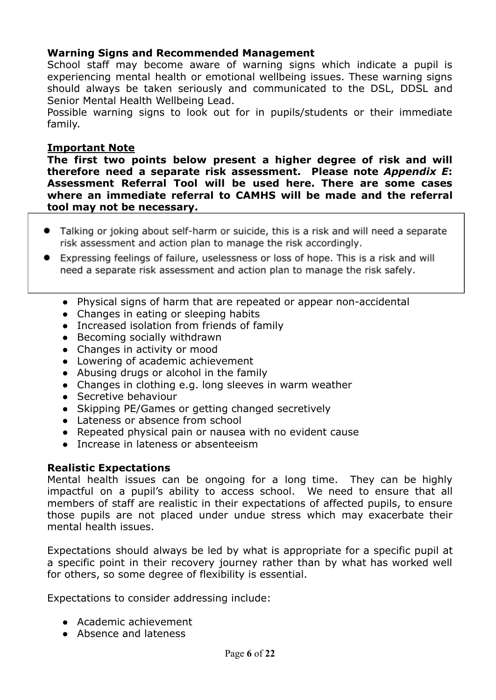# **Warning Signs and Recommended Management**

School staff may become aware of warning signs which indicate a pupil is experiencing mental health or emotional wellbeing issues. These warning signs should always be taken seriously and communicated to the DSL, DDSL and Senior Mental Health Wellbeing Lead.

Possible warning signs to look out for in pupils/students or their immediate family.

#### **Important Note**

**The first two points below present a higher degree of risk and will therefore need a separate risk assessment. Please note** *Appendix E***: Assessment Referral Tool will be used here. There are some cases where an immediate referral to CAMHS will be made and the referral tool may not be necessary.**

- Talking or joking about self-harm or suicide, this is a risk and will need a separate risk assessment and action plan to manage the risk accordingly.
- Expressing feelings of failure, uselessness or loss of hope. This is a risk and will need a separate risk assessment and action plan to manage the risk safely.
	- Physical signs of harm that are repeated or appear non-accidental
	- Changes in eating or sleeping habits
	- Increased isolation from friends of family
	- Becoming socially withdrawn
	- Changes in activity or mood
	- Lowering of academic achievement
	- Abusing drugs or alcohol in the family
	- Changes in clothing e.g. long sleeves in warm weather
	- Secretive behaviour
	- Skipping PE/Games or getting changed secretively
	- Lateness or absence from school
	- Repeated physical pain or nausea with no evident cause
	- Increase in lateness or absenteeism

#### **Realistic Expectations**

Mental health issues can be ongoing for a long time. They can be highly impactful on a pupil's ability to access school. We need to ensure that all members of staff are realistic in their expectations of affected pupils, to ensure those pupils are not placed under undue stress which may exacerbate their mental health issues.

Expectations should always be led by what is appropriate for a specific pupil at a specific point in their recovery journey rather than by what has worked well for others, so some degree of flexibility is essential.

Expectations to consider addressing include:

- Academic achievement
- Absence and lateness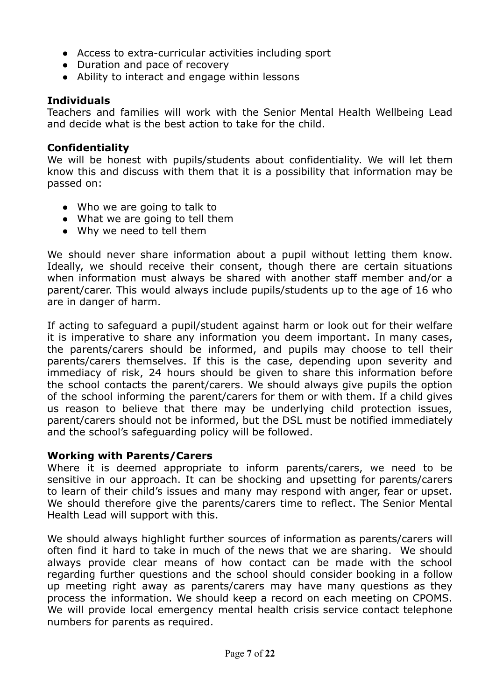- Access to extra-curricular activities including sport
- Duration and pace of recovery
- Ability to interact and engage within lessons

# **Individuals**

Teachers and families will work with the Senior Mental Health Wellbeing Lead and decide what is the best action to take for the child.

#### **Confidentiality**

We will be honest with pupils/students about confidentiality. We will let them know this and discuss with them that it is a possibility that information may be passed on:

- Who we are going to talk to
- What we are going to tell them
- Why we need to tell them

We should never share information about a pupil without letting them know. Ideally, we should receive their consent, though there are certain situations when information must always be shared with another staff member and/or a parent/carer. This would always include pupils/students up to the age of 16 who are in danger of harm.

If acting to safeguard a pupil/student against harm or look out for their welfare it is imperative to share any information you deem important. In many cases, the parents/carers should be informed, and pupils may choose to tell their parents/carers themselves. If this is the case, depending upon severity and immediacy of risk, 24 hours should be given to share this information before the school contacts the parent/carers. We should always give pupils the option of the school informing the parent/carers for them or with them. If a child gives us reason to believe that there may be underlying child protection issues, parent/carers should not be informed, but the DSL must be notified immediately and the school's safeguarding policy will be followed.

#### **Working with Parents/Carers**

Where it is deemed appropriate to inform parents/carers, we need to be sensitive in our approach. It can be shocking and upsetting for parents/carers to learn of their child's issues and many may respond with anger, fear or upset. We should therefore give the parents/carers time to reflect. The Senior Mental Health Lead will support with this.

We should always highlight further sources of information as parents/carers will often find it hard to take in much of the news that we are sharing. We should always provide clear means of how contact can be made with the school regarding further questions and the school should consider booking in a follow up meeting right away as parents/carers may have many questions as they process the information. We should keep a record on each meeting on CPOMS. We will provide local emergency mental health crisis service contact telephone numbers for parents as required.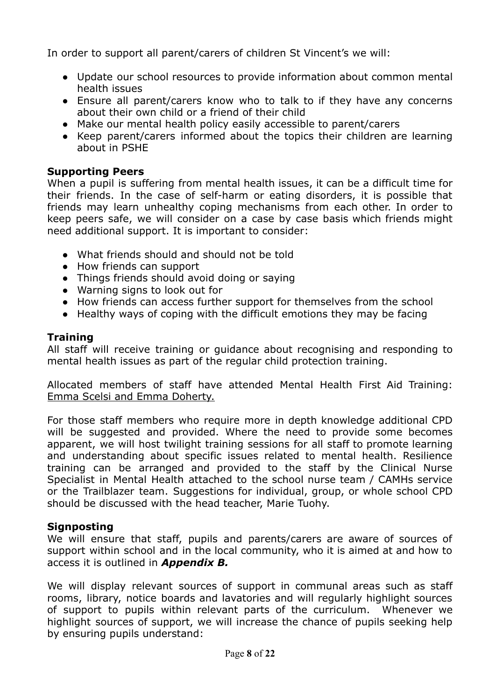In order to support all parent/carers of children St Vincent's we will:

- Update our school resources to provide information about common mental health issues
- Ensure all parent/carers know who to talk to if they have any concerns about their own child or a friend of their child
- Make our mental health policy easily accessible to parent/carers
- Keep parent/carers informed about the topics their children are learning about in PSHE

# **Supporting Peers**

When a pupil is suffering from mental health issues, it can be a difficult time for their friends. In the case of self-harm or eating disorders, it is possible that friends may learn unhealthy coping mechanisms from each other. In order to keep peers safe, we will consider on a case by case basis which friends might need additional support. It is important to consider:

- What friends should and should not be told
- How friends can support
- Things friends should avoid doing or saying
- Warning signs to look out for
- How friends can access further support for themselves from the school
- Healthy ways of coping with the difficult emotions they may be facing

#### **Training**

All staff will receive training or guidance about recognising and responding to mental health issues as part of the regular child protection training.

Allocated members of staff have attended Mental Health First Aid Training: Emma Scelsi and Emma Doherty.

For those staff members who require more in depth knowledge additional CPD will be suggested and provided. Where the need to provide some becomes apparent, we will host twilight training sessions for all staff to promote learning and understanding about specific issues related to mental health. Resilience training can be arranged and provided to the staff by the Clinical Nurse Specialist in Mental Health attached to the school nurse team / CAMHs service or the Trailblazer team. Suggestions for individual, group, or whole school CPD should be discussed with the head teacher, Marie Tuohy.

#### **Signposting**

We will ensure that staff, pupils and parents/carers are aware of sources of support within school and in the local community, who it is aimed at and how to access it is outlined in *Appendix B.*

We will display relevant sources of support in communal areas such as staff rooms, library, notice boards and lavatories and will regularly highlight sources of support to pupils within relevant parts of the curriculum. Whenever we highlight sources of support, we will increase the chance of pupils seeking help by ensuring pupils understand: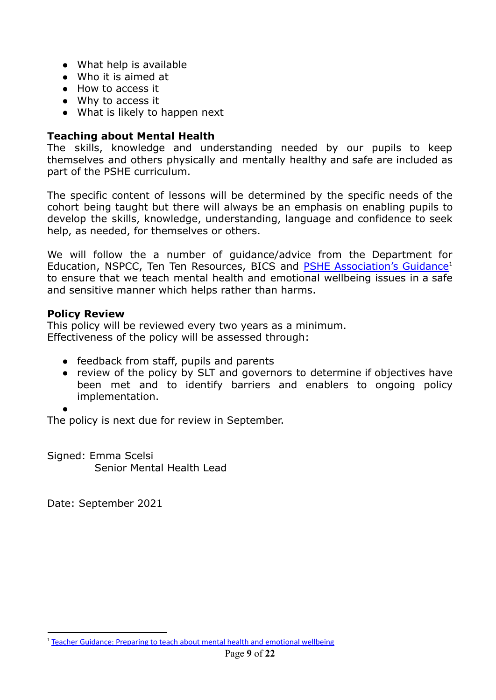- What help is available
- Who it is aimed at
- How to access it
- Why to access it
- What is likely to happen next

# **Teaching about Mental Health**

The skills, knowledge and understanding needed by our pupils to keep themselves and others physically and mentally healthy and safe are included as part of the PSHE curriculum.

The specific content of lessons will be determined by the specific needs of the cohort being taught but there will always be an emphasis on enabling pupils to develop the skills, knowledge, understanding, language and confidence to seek help, as needed, for themselves or others.

We will follow the a number of guidance/advice from the Department for Education, NSPCC, Ten Ten Resources, BICS and PSHE [Association's](http://www.inourhands.com/wp-content/uploads/2015/03/Preparing-to-teach-about-mental-health-and-emotional-wellbeing-PSHE-Association-March-2015-FINAL.pdf) Guidance<sup>1</sup> to ensure that we teach mental health and emotional wellbeing issues in a safe and sensitive manner which helps rather than harms.

# **Policy Review**

This policy will be reviewed every two years as a minimum. Effectiveness of the policy will be assessed through:

- feedback from staff, pupils and parents
- review of the policy by SLT and governors to determine if objectives have been met and to identify barriers and enablers to ongoing policy implementation.
- 

●

The policy is next due for review in September.

Signed: Emma Scelsi Senior Mental Health Lead

Date: September 2021

<sup>&</sup>lt;sup>1</sup> Teacher Guidance: Preparing to teach about mental health and [emotional](http://www.inourhands.com/wp-content/uploads/2015/03/Preparing-to-teach-about-mental-health-and-emotional-wellbeing-PSHE-Association-March-2015-FINAL.pdf) wellbeing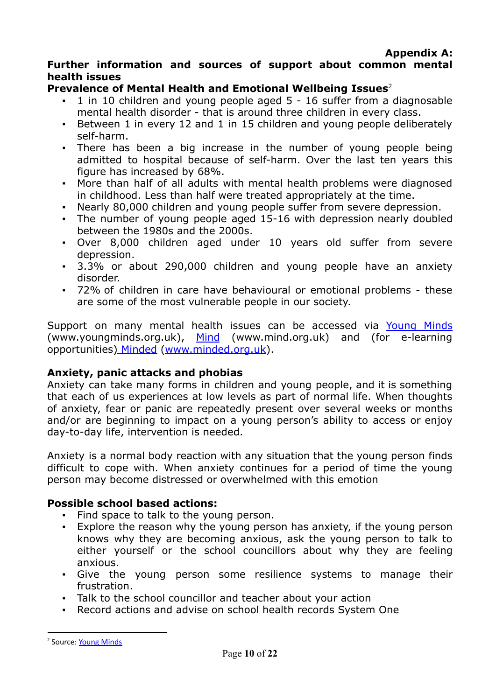# **Appendix A:**

#### **Further information and sources of support about common mental health issues**

## **Prevalence of Mental Health and Emotional Wellbeing Issues**<sup>2</sup>

- 1 in 10 children and young people aged  $5 16$  suffer from a diagnosable mental health disorder - that is around three children in every class.
- Between 1 in every 12 and 1 in 15 children and young people deliberately self-harm.
- There has been a big increase in the number of young people being admitted to hospital because of self-harm. Over the last ten years this figure has increased by 68%.
- More than half of all adults with mental health problems were diagnosed in childhood. Less than half were treated appropriately at the time.
- Nearly 80,000 children and young people suffer from severe depression.
- The number of young people aged 15-16 with depression nearly doubled between the 1980s and the 2000s.
- Over 8,000 children aged under 10 years old suffer from severe depression.
- 3.3% or about 290,000 children and young people have an anxiety disorder.
- 72% of children in care have behavioural or emotional problems these are some of the most vulnerable people in our society.

Support on many mental health issues can be accessed via [Young](http://www.youngminds.org.uk/for_parents/whats_worrying_you_about_your_child/self-harm) Minds (www.youngminds.org.uk), [Mind](http://www.mind.org.uk/information-support/types-of-mental-health-problems/self-harm/#.VMxpXsbA67s) (www.mind.org.uk) and (for e-learning opportunities) [Minded](https://www.minded.org.uk/course/view.php?id=89) [\(www.minded.org.uk\)](http://www.minded.org.uk).

#### **Anxiety, panic attacks and phobias**

Anxiety can take many forms in children and young people, and it is something that each of us experiences at low levels as part of normal life. When thoughts of anxiety, fear or panic are repeatedly present over several weeks or months and/or are beginning to impact on a young person's ability to access or enjoy day-to-day life, intervention is needed.

Anxiety is a normal body reaction with any situation that the young person finds difficult to cope with. When anxiety continues for a period of time the young person may become distressed or overwhelmed with this emotion

#### **Possible school based actions:**

- Find space to talk to the young person.
- Explore the reason why the young person has anxiety, if the young person knows why they are becoming anxious, ask the young person to talk to either yourself or the school councillors about why they are feeling anxious.
- Give the young person some resilience systems to manage their frustration.
- Talk to the school councillor and teacher about your action
- Record actions and advise on school health records System One

<sup>2</sup> Source: Young [Minds](http://www.youngminds.org.uk/training_services/policy/mental_health_statistics)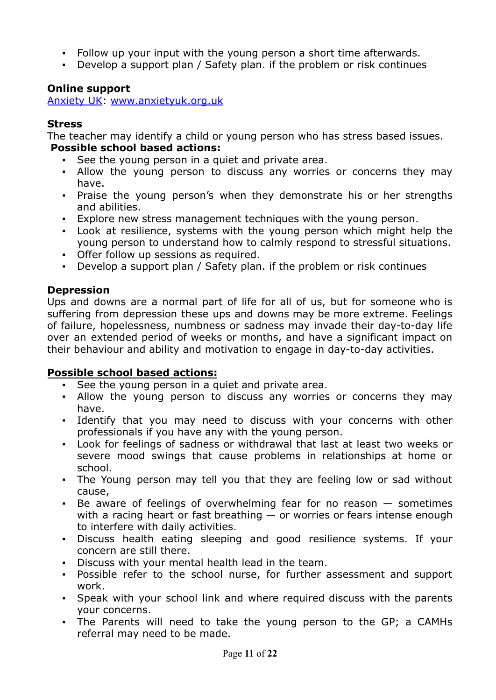- Follow up your input with the young person a short time afterwards.
- Develop a support plan / Safety plan. if the problem or risk continues

## **Online support**

[Anxiety UK](https://www.anxietyuk.org.uk): [www.anxietyuk.org.uk](http://www.anxietyuk.org.uk)

#### **Stress**

The teacher may identify a child or young person who has stress based issues. **Possible school based actions:**

- See the young person in a quiet and private area.
- Allow the young person to discuss any worries or concerns they may have.
- Praise the young person's when they demonstrate his or her strengths and abilities.
- Explore new stress management techniques with the young person.
- Look at resilience, systems with the young person which might help the young person to understand how to calmly respond to stressful situations.
- Offer follow up sessions as required.
- Develop a support plan / Safety plan. if the problem or risk continues

#### **Depression**

Ups and downs are a normal part of life for all of us, but for someone who is suffering from depression these ups and downs may be more extreme. Feelings of failure, hopelessness, numbness or sadness may invade their day-to-day life over an extended period of weeks or months, and have a significant impact on their behaviour and ability and motivation to engage in day-to-day activities.

#### **Possible school based actions:**

- See the young person in a quiet and private area.
- Allow the young person to discuss any worries or concerns they may have.
- Identify that you may need to discuss with your concerns with other professionals if you have any with the young person.
- Look for feelings of sadness or withdrawal that last at least two weeks or severe mood swings that cause problems in relationships at home or school.
- The Young person may tell you that they are feeling low or sad without cause,
- Be aware of feelings of overwhelming fear for no reason  $-$  sometimes with a racing heart or fast breathing  $-$  or worries or fears intense enough to interfere with daily activities.
- Discuss health eating sleeping and good resilience systems. If your concern are still there.
- Discuss with your mental health lead in the team.
- Possible refer to the school nurse, for further assessment and support work.
- Speak with your school link and where required discuss with the parents your concerns.
- The Parents will need to take the young person to the GP; a CAMHs referral may need to be made.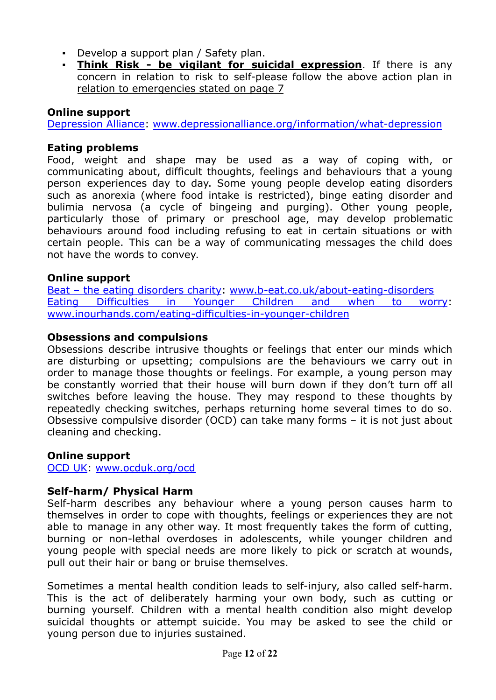- Develop a support plan / Safety plan.
- **Think Risk - be vigilant for suicidal expression**. If there is any concern in relation to risk to self-please follow the above action plan in relation to emergencies stated on page 7

## **Online support**

[Depression Alliance](http://www.depressionalliance.org/information/what-depression): [www.depressionalliance.org/information/what-depression](http://www.depressionalliance.org/information/what-depression)

#### **Eating problems**

Food, weight and shape may be used as a way of coping with, or communicating about, difficult thoughts, feelings and behaviours that a young person experiences day to day. Some young people develop eating disorders such as anorexia (where food intake is restricted), binge eating disorder and bulimia nervosa (a cycle of bingeing and purging). Other young people, particularly those of primary or preschool age, may develop problematic behaviours around food including refusing to eat in certain situations or with certain people. This can be a way of communicating messages the child does not have the words to convey.

#### **Online support**

[Beat – the eating disorders charity](http://www.b-eat.co.uk/get-help/about-eating-disorders/): [www.b-eat.co.uk/about-eating-disorders](http://www.b-eat.co.uk/about-eating-disorders) Eating [Difficulties](http://www.inourhands.com/eating-difficulties-in-younger-children/) in Younger Children and when to worry: [www.inourhands.com/eating-difficulties-in-younger-children](http://www.inourhands.com/eating-difficulties-in-younger-children)

#### **Obsessions and compulsions**

Obsessions describe intrusive thoughts or feelings that enter our minds which are disturbing or upsetting; compulsions are the behaviours we carry out in order to manage those thoughts or feelings. For example, a young person may be constantly worried that their house will burn down if they don't turn off all switches before leaving the house. They may respond to these thoughts by repeatedly checking switches, perhaps returning home several times to do so. Obsessive compulsive disorder (OCD) can take many forms – it is not just about cleaning and checking.

#### **Online support**

[OCD UK](http://www.ocduk.org/ocd): [www.ocduk.org/ocd](http://www.ocduk.org/ocd)

#### **Self-harm/ Physical Harm**

Self-harm describes any behaviour where a young person causes harm to themselves in order to cope with thoughts, feelings or experiences they are not able to manage in any other way. It most frequently takes the form of cutting, burning or non-lethal overdoses in adolescents, while younger children and young people with special needs are more likely to pick or scratch at wounds, pull out their hair or bang or bruise themselves.

Sometimes a mental health condition leads to self-injury, also called self-harm. This is the act of deliberately harming your own body, such as cutting or burning yourself. Children with a mental health condition also might develop suicidal thoughts or attempt suicide. You may be asked to see the child or young person due to injuries sustained.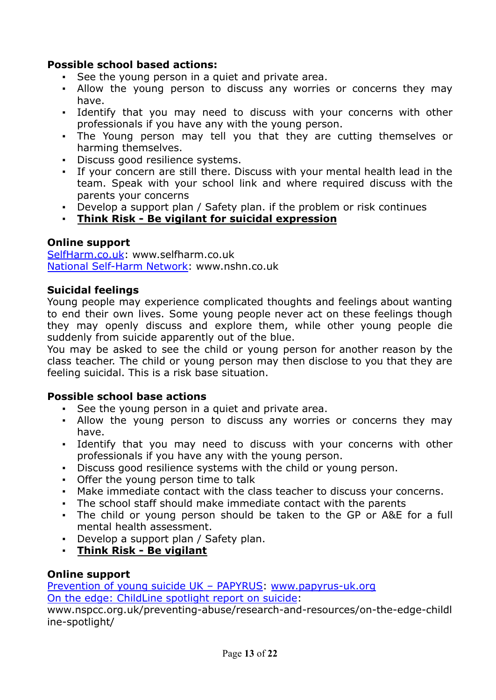# **Possible school based actions:**

- See the young person in a quiet and private area.
- Allow the young person to discuss any worries or concerns they may have.
- Identify that you may need to discuss with your concerns with other professionals if you have any with the young person.
- The Young person may tell you that they are cutting themselves or harming themselves.
- Discuss good resilience systems.
- If your concern are still there. Discuss with your mental health lead in the team. Speak with your school link and where required discuss with the parents your concerns
- Develop a support plan / Safety plan. if the problem or risk continues
- **Think Risk Be vigilant for suicidal expression**

# **Online support**

[SelfHarm.co.uk](https://www.selfharm.co.uk): www.selfharm.co.uk [National Self-Harm Network:](http://www.nshn.co.uk) www.nshn.co.uk

#### **Suicidal feelings**

Young people may experience complicated thoughts and feelings about wanting to end their own lives. Some young people never act on these feelings though they may openly discuss and explore them, while other young people die suddenly from suicide apparently out of the blue.

You may be asked to see the child or young person for another reason by the class teacher. The child or young person may then disclose to you that they are feeling suicidal. This is a risk base situation.

#### **Possible school base actions**

- See the young person in a quiet and private area.
- Allow the young person to discuss any worries or concerns they may have.
- Identify that you may need to discuss with your concerns with other professionals if you have any with the young person.
- Discuss good resilience systems with the child or young person.
- Offer the young person time to talk
- Make immediate contact with the class teacher to discuss your concerns.
- The school staff should make immediate contact with the parents
- The child or young person should be taken to the GP or A&E for a full mental health assessment.
- Develop a support plan / Safety plan.
- **Think Risk Be vigilant**

# **Online support**

[Prevention of young suicide UK – PAPYRUS:](https://www.papyrus-uk.org) [www.papyrus-uk.org](http://www.papyrus-uk.org) [On the edge: ChildLine spotlight report on suicide](http://www.nspcc.org.uk/preventing-abuse/research-and-resources/on-the-edge-childline-spotlight/):

www.nspcc.org.uk/preventing-abuse/research-and-resources/on-the-edge-childl ine-spotlight/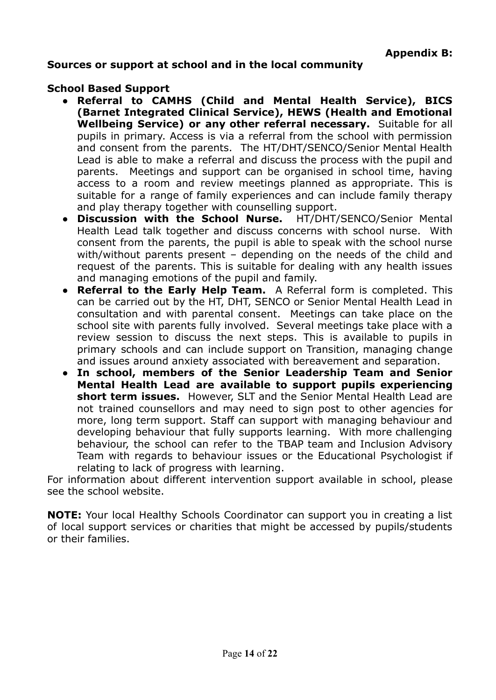## **Sources or support at school and in the local community**

#### **School Based Support**

- **Referral to CAMHS (Child and Mental Health Service), BICS (Barnet Integrated Clinical Service), HEWS (Health and Emotional Wellbeing Service) or any other referral necessary.** Suitable for all pupils in primary. Access is via a referral from the school with permission and consent from the parents. The HT/DHT/SENCO/Senior Mental Health Lead is able to make a referral and discuss the process with the pupil and parents. Meetings and support can be organised in school time, having access to a room and review meetings planned as appropriate. This is suitable for a range of family experiences and can include family therapy and play therapy together with counselling support.
- **Discussion with the School Nurse.** HT/DHT/SENCO/Senior Mental Health Lead talk together and discuss concerns with school nurse. With consent from the parents, the pupil is able to speak with the school nurse with/without parents present – depending on the needs of the child and request of the parents. This is suitable for dealing with any health issues and managing emotions of the pupil and family.
- **Referral to the Early Help Team.** A Referral form is completed. This can be carried out by the HT, DHT, SENCO or Senior Mental Health Lead in consultation and with parental consent. Meetings can take place on the school site with parents fully involved. Several meetings take place with a review session to discuss the next steps. This is available to pupils in primary schools and can include support on Transition, managing change and issues around anxiety associated with bereavement and separation.
- **In school, members of the Senior Leadership Team and Senior Mental Health Lead are available to support pupils experiencing short term issues.** However, SLT and the Senior Mental Health Lead are not trained counsellors and may need to sign post to other agencies for more, long term support. Staff can support with managing behaviour and developing behaviour that fully supports learning. With more challenging behaviour, the school can refer to the TBAP team and Inclusion Advisory Team with regards to behaviour issues or the Educational Psychologist if relating to lack of progress with learning.

For information about different intervention support available in school, please see the school website.

**NOTE:** Your local Healthy Schools Coordinator can support you in creating a list of local support services or charities that might be accessed by pupils/students or their families.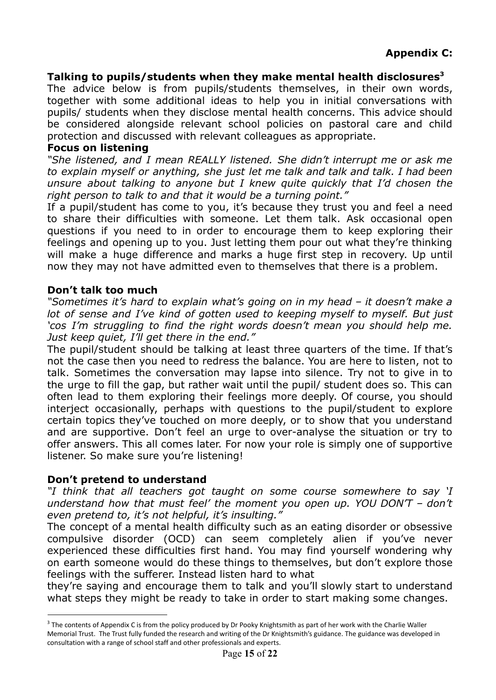#### **Talking to pupils/students when they make mental health disclosures<sup>3</sup>**

The advice below is from pupils/students themselves, in their own words, together with some additional ideas to help you in initial conversations with pupils/ students when they disclose mental health concerns. This advice should be considered alongside relevant school policies on pastoral care and child protection and discussed with relevant colleagues as appropriate.

#### **Focus on listening**

*"She listened, and I mean REALLY listened. She didn't interrupt me or ask me to explain myself or anything, she just let me talk and talk and talk. I had been unsure about talking to anyone but I knew quite quickly that I'd chosen the right person to talk to and that it would be a turning point."*

If a pupil/student has come to you, it's because they trust you and feel a need to share their difficulties with someone. Let them talk. Ask occasional open questions if you need to in order to encourage them to keep exploring their feelings and opening up to you. Just letting them pour out what they're thinking will make a huge difference and marks a huge first step in recovery. Up until now they may not have admitted even to themselves that there is a problem.

#### **Don't talk too much**

*"Sometimes it's hard to explain what's going on in my head – it doesn't make a lot of sense and I've kind of gotten used to keeping myself to myself. But just 'cos I'm struggling to find the right words doesn't mean you should help me. Just keep quiet, I'll get there in the end."*

The pupil/student should be talking at least three quarters of the time. If that's not the case then you need to redress the balance. You are here to listen, not to talk. Sometimes the conversation may lapse into silence. Try not to give in to the urge to fill the gap, but rather wait until the pupil/ student does so. This can often lead to them exploring their feelings more deeply. Of course, you should interject occasionally, perhaps with questions to the pupil/student to explore certain topics they've touched on more deeply, or to show that you understand and are supportive. Don't feel an urge to over-analyse the situation or try to offer answers. This all comes later. For now your role is simply one of supportive listener. So make sure you're listening!

#### **Don't pretend to understand**

*"I think that all teachers got taught on some course somewhere to say 'I understand how that must feel' the moment you open up. YOU DON'T – don't even pretend to, it's not helpful, it's insulting."*

The concept of a mental health difficulty such as an eating disorder or obsessive compulsive disorder (OCD) can seem completely alien if you've never experienced these difficulties first hand. You may find yourself wondering why on earth someone would do these things to themselves, but don't explore those feelings with the sufferer. Instead listen hard to what

they're saying and encourage them to talk and you'll slowly start to understand what steps they might be ready to take in order to start making some changes.

 $3$  The contents of Appendix C is from the policy produced by Dr Pooky Knightsmith as part of her work with the Charlie Waller Memorial Trust. The Trust fully funded the research and writing of the Dr Knightsmith's guidance. The guidance was developed in consultation with a range of school staff and other professionals and experts.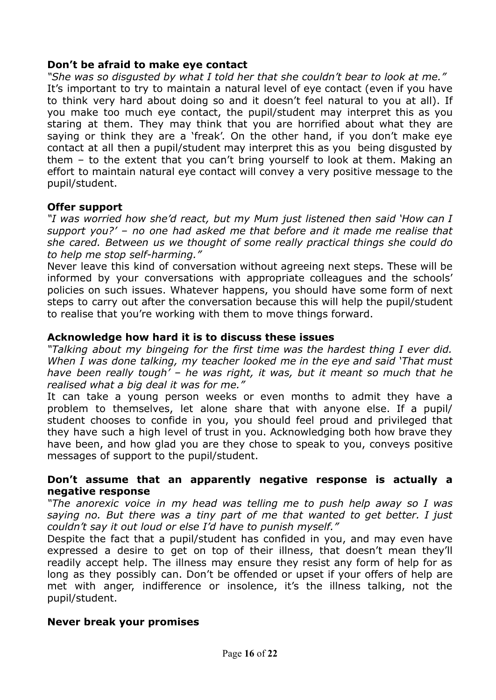#### **Don't be afraid to make eye contact**

*"She was so disgusted by what I told her that she couldn't bear to look at me."* It's important to try to maintain a natural level of eye contact (even if you have to think very hard about doing so and it doesn't feel natural to you at all). If you make too much eye contact, the pupil/student may interpret this as you staring at them. They may think that you are horrified about what they are saying or think they are a 'freak'. On the other hand, if you don't make eye contact at all then a pupil/student may interpret this as you being disgusted by them – to the extent that you can't bring yourself to look at them. Making an effort to maintain natural eye contact will convey a very positive message to the pupil/student.

#### **Offer support**

*"I was worried how she'd react, but my Mum just listened then said 'How can I support you?' – no one had asked me that before and it made me realise that she cared. Between us we thought of some really practical things she could do to help me stop self-harming."*

Never leave this kind of conversation without agreeing next steps. These will be informed by your conversations with appropriate colleagues and the schools' policies on such issues. Whatever happens, you should have some form of next steps to carry out after the conversation because this will help the pupil/student to realise that you're working with them to move things forward.

#### **Acknowledge how hard it is to discuss these issues**

*"Talking about my bingeing for the first time was the hardest thing I ever did. When I was done talking, my teacher looked me in the eye and said 'That must have been really tough' – he was right, it was, but it meant so much that he realised what a big deal it was for me."*

It can take a young person weeks or even months to admit they have a problem to themselves, let alone share that with anyone else. If a pupil/ student chooses to confide in you, you should feel proud and privileged that they have such a high level of trust in you. Acknowledging both how brave they have been, and how glad you are they chose to speak to you, conveys positive messages of support to the pupil/student.

#### **Don't assume that an apparently negative response is actually a negative response**

*"The anorexic voice in my head was telling me to push help away so I was saying no. But there was a tiny part of me that wanted to get better. I just couldn't say it out loud or else I'd have to punish myself."*

Despite the fact that a pupil/student has confided in you, and may even have expressed a desire to get on top of their illness, that doesn't mean they'll readily accept help. The illness may ensure they resist any form of help for as long as they possibly can. Don't be offended or upset if your offers of help are met with anger, indifference or insolence, it's the illness talking, not the pupil/student.

#### **Never break your promises**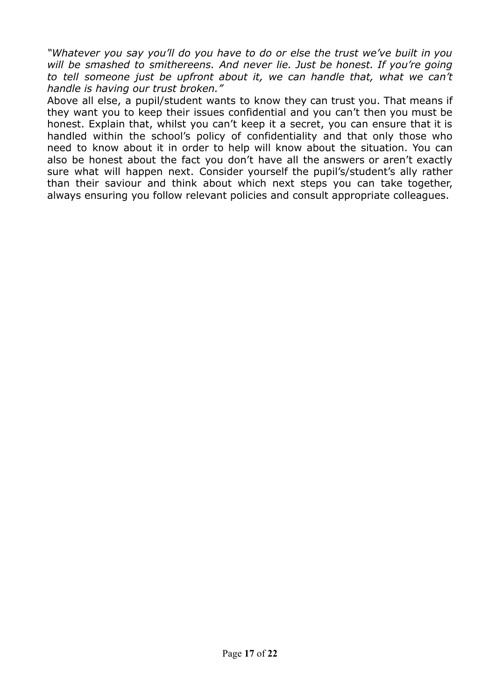*"Whatever you say you'll do you have to do or else the trust we've built in you will be smashed to smithereens. And never lie. Just be honest. If you're going to tell someone just be upfront about it, we can handle that, what we can't handle is having our trust broken."*

Above all else, a pupil/student wants to know they can trust you. That means if they want you to keep their issues confidential and you can't then you must be honest. Explain that, whilst you can't keep it a secret, you can ensure that it is handled within the school's policy of confidentiality and that only those who need to know about it in order to help will know about the situation. You can also be honest about the fact you don't have all the answers or aren't exactly sure what will happen next. Consider yourself the pupil's/student's ally rather than their saviour and think about which next steps you can take together, always ensuring you follow relevant policies and consult appropriate colleagues.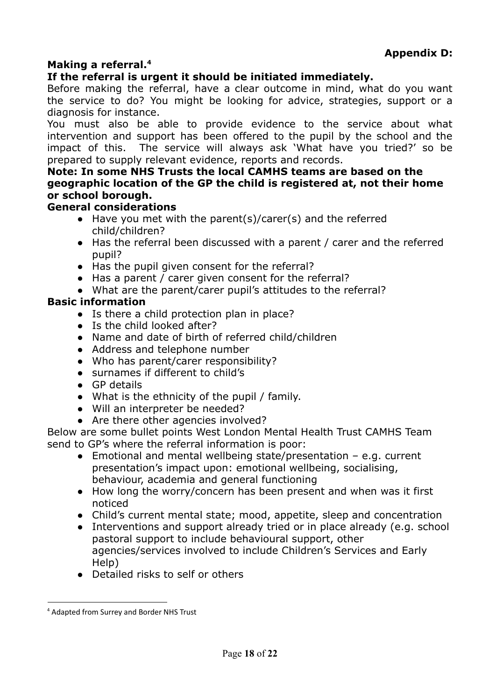# **Making a referral.<sup>4</sup>**

# **If the referral is urgent it should be initiated immediately.**

Before making the referral, have a clear outcome in mind, what do you want the service to do? You might be looking for advice, strategies, support or a diagnosis for instance.

You must also be able to provide evidence to the service about what intervention and support has been offered to the pupil by the school and the impact of this. The service will always ask 'What have you tried?' so be prepared to supply relevant evidence, reports and records.

## **Note: In some NHS Trusts the local CAMHS teams are based on the geographic location of the GP the child is registered at, not their home or school borough.**

#### **General considerations**

- Have you met with the parent(s)/carer(s) and the referred child/children?
- Has the referral been discussed with a parent / carer and the referred pupil?
- Has the pupil given consent for the referral?
- Has a parent / carer given consent for the referral?
- What are the parent/carer pupil's attitudes to the referral?

# **Basic information**

- Is there a child protection plan in place?
- Is the child looked after?
- Name and date of birth of referred child/children
- Address and telephone number
- Who has parent/carer responsibility?
- surnames if different to child's
- GP details
- What is the ethnicity of the pupil / family.
- Will an interpreter be needed?
- Are there other agencies involved?

Below are some bullet points West London Mental Health Trust CAMHS Team send to GP's where the referral information is poor:

- $\bullet$  Emotional and mental wellbeing state/presentation e.g. current presentation's impact upon: emotional wellbeing, socialising, behaviour, academia and general functioning
- How long the worry/concern has been present and when was it first noticed
- Child's current mental state; mood, appetite, sleep and concentration
- Interventions and support already tried or in place already (e.g. school pastoral support to include behavioural support, other agencies/services involved to include Children's Services and Early Help)
- Detailed risks to self or others

<sup>4</sup> Adapted from Surrey and Border NHS Trust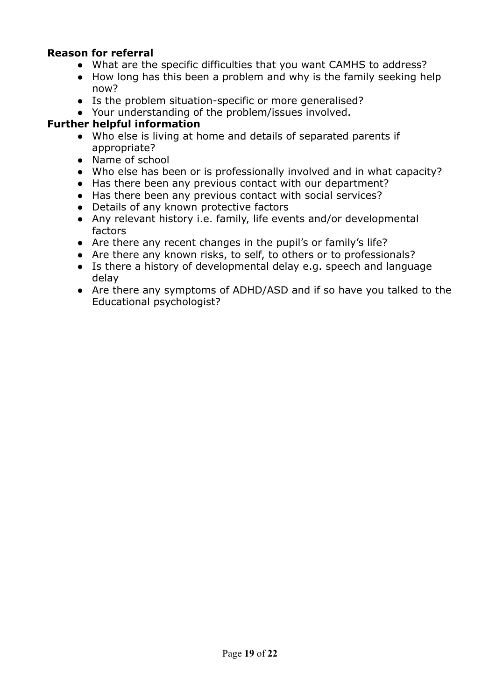## **Reason for referral**

- What are the specific difficulties that you want CAMHS to address?
- How long has this been a problem and why is the family seeking help now?
- Is the problem situation-specific or more generalised?
- Your understanding of the problem/issues involved.

# **Further helpful information**

- Who else is living at home and details of separated parents if appropriate?
- Name of school
- Who else has been or is professionally involved and in what capacity?
- Has there been any previous contact with our department?
- Has there been any previous contact with social services?
- Details of any known protective factors
- Any relevant history i.e. family, life events and/or developmental factors
- Are there any recent changes in the pupil's or family's life?
- Are there any known risks, to self, to others or to professionals?
- Is there a history of developmental delay e.g. speech and language delay
- Are there any symptoms of ADHD/ASD and if so have you talked to the Educational psychologist?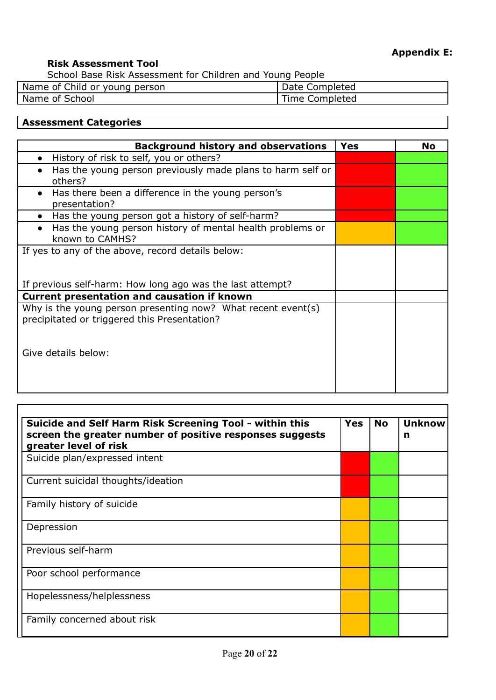## **Risk Assessment Tool**

School Base Risk Assessment for Children and Young People

| Name of Child or young person | Date Completed |
|-------------------------------|----------------|
| Name of School                | Time Completed |

# **Assessment Categories**

| <b>Background history and observations</b>                                                                                                                                                | <b>Yes</b> | <b>No</b> |
|-------------------------------------------------------------------------------------------------------------------------------------------------------------------------------------------|------------|-----------|
| History of risk to self, you or others?                                                                                                                                                   |            |           |
| Has the young person previously made plans to harm self or<br>others?                                                                                                                     |            |           |
| Has there been a difference in the young person's<br>presentation?                                                                                                                        |            |           |
| Has the young person got a history of self-harm?                                                                                                                                          |            |           |
| Has the young person history of mental health problems or<br>known to CAMHS?                                                                                                              |            |           |
| If yes to any of the above, record details below:<br>If previous self-harm: How long ago was the last attempt?                                                                            |            |           |
|                                                                                                                                                                                           |            |           |
| <b>Current presentation and causation if known</b><br>Why is the young person presenting now? What recent event(s)<br>precipitated or triggered this Presentation?<br>Give details below: |            |           |
|                                                                                                                                                                                           |            |           |

| Suicide and Self Harm Risk Screening Tool - within this<br>screen the greater number of positive responses suggests<br>greater level of risk |  | <b>No</b> | <b>Unknow</b><br>n |
|----------------------------------------------------------------------------------------------------------------------------------------------|--|-----------|--------------------|
| Suicide plan/expressed intent                                                                                                                |  |           |                    |
| Current suicidal thoughts/ideation                                                                                                           |  |           |                    |
| Family history of suicide                                                                                                                    |  |           |                    |
| Depression                                                                                                                                   |  |           |                    |
| Previous self-harm                                                                                                                           |  |           |                    |
| Poor school performance                                                                                                                      |  |           |                    |
| Hopelessness/helplessness                                                                                                                    |  |           |                    |
| Family concerned about risk                                                                                                                  |  |           |                    |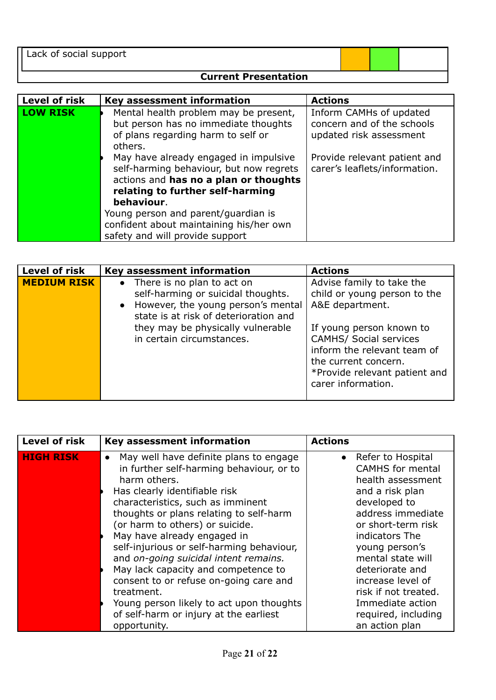# **Current Presentation**

| <b>Level of risk</b> | Key assessment information                                                                                                                                                                                                                                                                       | <b>Actions</b>                                                                   |
|----------------------|--------------------------------------------------------------------------------------------------------------------------------------------------------------------------------------------------------------------------------------------------------------------------------------------------|----------------------------------------------------------------------------------|
| <b>LOW RISK</b>      | Mental health problem may be present,<br>but person has no immediate thoughts<br>of plans regarding harm to self or<br>others.                                                                                                                                                                   | Inform CAMHs of updated<br>concern and of the schools<br>updated risk assessment |
|                      | May have already engaged in impulsive<br>self-harming behaviour, but now regrets<br>actions and has no a plan or thoughts<br>relating to further self-harming<br>behaviour.<br>Young person and parent/guardian is<br>confident about maintaining his/her own<br>safety and will provide support | Provide relevant patient and<br>carer's leaflets/information.                    |

| Level of risk      | Key assessment information            | <b>Actions</b>                |
|--------------------|---------------------------------------|-------------------------------|
| <b>MEDIUM RISK</b> | • There is no plan to act on          | Advise family to take the     |
|                    | self-harming or suicidal thoughts.    | child or young person to the  |
|                    | However, the young person's mental    | A&E department.               |
|                    | state is at risk of deterioration and |                               |
|                    | they may be physically vulnerable     | If young person known to      |
|                    | in certain circumstances.             | <b>CAMHS/ Social services</b> |
|                    |                                       | inform the relevant team of   |
|                    |                                       | the current concern.          |
|                    |                                       | *Provide relevant patient and |
|                    |                                       | carer information.            |
|                    |                                       |                               |

| <b>Level of risk</b> | <b>Key assessment information</b>                                                                                                                                                                                                                                                                                                                                                                                                                                                                                                                                                             | <b>Actions</b>                                                                                                                                                                                                                                                                                                                          |
|----------------------|-----------------------------------------------------------------------------------------------------------------------------------------------------------------------------------------------------------------------------------------------------------------------------------------------------------------------------------------------------------------------------------------------------------------------------------------------------------------------------------------------------------------------------------------------------------------------------------------------|-----------------------------------------------------------------------------------------------------------------------------------------------------------------------------------------------------------------------------------------------------------------------------------------------------------------------------------------|
| <b>HIGH RISK</b>     | May well have definite plans to engage<br>$\bullet$<br>in further self-harming behaviour, or to<br>harm others.<br>Has clearly identifiable risk<br>characteristics, such as imminent<br>thoughts or plans relating to self-harm<br>(or harm to others) or suicide.<br>May have already engaged in<br>self-injurious or self-harming behaviour,<br>and on-going suicidal intent remains.<br>May lack capacity and competence to<br>consent to or refuse on-going care and<br>treatment.<br>Young person likely to act upon thoughts<br>of self-harm or injury at the earliest<br>opportunity. | • Refer to Hospital<br><b>CAMHS</b> for mental<br>health assessment<br>and a risk plan<br>developed to<br>address immediate<br>or short-term risk<br>indicators The<br>young person's<br>mental state will<br>deteriorate and<br>increase level of<br>risk if not treated.<br>Immediate action<br>required, including<br>an action plan |